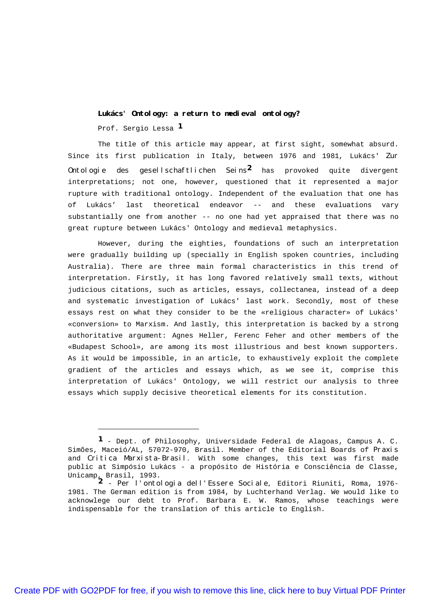**Lukács' Ontology: a return to medieval ontology?** Prof. Sergio Lessa **1**

The title of this article may appear, at first sight, somewhat absurd. Since its first publication in Italy, between 1976 and 1981, Lukács' Zur Ontologie des gesellschaftlichen Seins **2** has provoked quite divergent interpretations; not one, however, questioned that it represented a major rupture with traditional ontology. Independent of the evaluation that one has of Lukács' last theoretical endeavor -- and these evaluations vary substantially one from another -- no one had yet appraised that there was no great rupture between Lukács' Ontology and medieval metaphysics.

However, during the eighties, foundations of such an interpretation were gradually building up (specially in English spoken countries, including Australia). There are three main formal characteristics in this trend of interpretation. Firstly, it has long favored relatively small texts, without judicious citations, such as articles, essays, collectanea, instead of a deep and systematic investigation of Lukács' last work. Secondly, most of these essays rest on what they consider to be the «religious character» of Lukács' «conversion» to Marxism. And lastly, this interpretation is backed by a strong authoritative argument: Agnes Heller, Ferenc Feher and other members of the «Budapest School», are among its most illustrious and best known supporters. As it would be impossible, in an article, to exhaustively exploit the complete gradient of the articles and essays which, as we see it, comprise this interpretation of Lukács' Ontology, we will restrict our analysis to three essays which supply decisive theoretical elements for its constitution.

**<sup>1</sup>** - Dept. of Philosophy, Universidade Federal de Alagoas, Campus A. C. Simões, Maceió/AL, 57072-970, Brasil. Member of the Editorial Boards of Praxis and Critica Marxista-Brasil. With some changes, this text was first made public at Simpósio Lukács - a propósito de História e Consciência de Classe, Unicamp, Brasil, 1993.

**<sup>2</sup>** - Per l'ontologia dell'Essere Sociale, Editori Riuniti, Roma, 1976- 1981. The German edition is from 1984, by Luchterhand Verlag. We would like to acknowlege our debt to Prof. Barbara E. W. Ramos, whose teachings were indispensable for the translation of this article to English.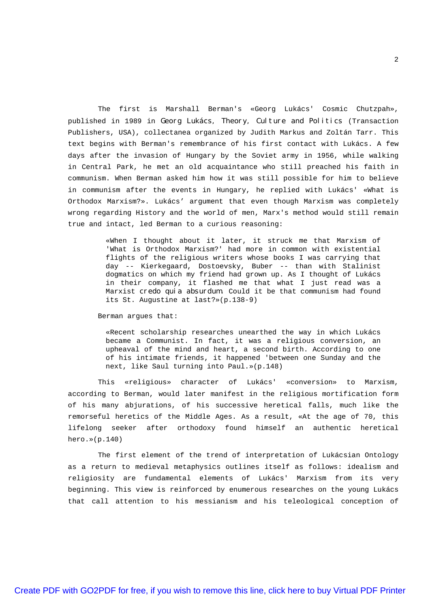The first is Marshall Berman's «Georg Lukács' Cosmic Chutzpah», published in 1989 in Georg Lukács, Theory, Culture and Politics (Transaction Publishers, USA), collectanea organized by Judith Markus and Zoltán Tarr. This text begins with Berman's remembrance of his first contact with Lukács. A few days after the invasion of Hungary by the Soviet army in 1956, while walking in Central Park, he met an old acquaintance who still preached his faith in communism. When Berman asked him how it was still possible for him to believe in communism after the events in Hungary, he replied with Lukács' «What is Orthodox Marxism?». Lukács' argument that even though Marxism was completely wrong regarding History and the world of men, Marx's method would still remain true and intact, led Berman to a curious reasoning:

> «When I thought about it later, it struck me that Marxism of 'What is Orthodox Marxism?' had more in common with existential flights of the religious writers whose books I was carrying that day -- Kierkegaard, Dostoevsky, Buber -- than with Stalinist dogmatics on which my friend had grown up. As I thought of Lukács in their company, it flashed me that what I just read was a Marxist credo quia absurdum. Could it be that communism had found its St. Augustine at last?»(p.138-9)

## Berman argues that:

«Recent scholarship researches unearthed the way in which Lukács became a Communist. In fact, it was a religious conversion, an upheaval of the mind and heart, a second birth. According to one of his intimate friends, it happened 'between one Sunday and the next, like Saul turning into Paul.»(p.148)

This «religious» character of Lukács' «conversion» to Marxism, according to Berman, would later manifest in the religious mortification form of his many abjurations, of his successive heretical falls, much like the remorseful heretics of the Middle Ages. As a result, «At the age of 70, this lifelong seeker after orthodoxy found himself an authentic heretical hero.»(p.140)

The first element of the trend of interpretation of Lukácsian Ontology as a return to medieval metaphysics outlines itself as follows: idealism and religiosity are fundamental elements of Lukács' Marxism from its very beginning. This view is reinforced by enumerous researches on the young Lukács that call attention to his messianism and his teleological conception of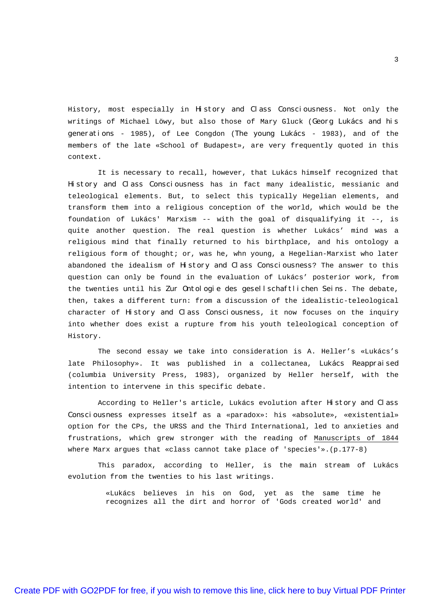History, most especially in History and Class Consciousness. Not only the writings of Michael Löwy, but also those of Mary Gluck (Georg Lukács and his generations - 1985), of Lee Congdon (The young Lukács - 1983), and of the members of the late «School of Budapest», are very frequently quoted in this context.

It is necessary to recall, however, that Lukács himself recognized that History and Class Consciousness has in fact many idealistic, messianic and teleological elements. But, to select this typically Hegelian elements, and transform them into a religious conception of the world, which would be the foundation of Lukács' Marxism -- with the goal of disqualifying it --, is quite another question. The real question is whether Lukács' mind was a religious mind that finally returned to his birthplace, and his ontology a religious form of thought; or, was he, whn young, a Hegelian-Marxist who later abandoned the idealism of History and Class Consciousness? The answer to this question can only be found in the evaluation of Lukács' posterior work, from the twenties until his Zur Ontologie des gesellschaftlichen Seins. The debate, then, takes a different turn: from a discussion of the idealistic-teleological character of History and Class Consciousness, it now focuses on the inquiry into whether does exist a rupture from his youth teleological conception of History.

The second essay we take into consideration is A. Heller's «Lukács's late Philosophy». It was published in a collectanea, Lukács Reappraised (columbia University Press, 1983), organized by Heller herself, with the intention to intervene in this specific debate.

According to Heller's article, Lukács evolution after History and Class Consciousness expresses itself as a «paradox»: his «absolute», «existential» option for the CPs, the URSS and the Third International, led to anxieties and frustrations, which grew stronger with the reading of Manuscripts of 1844 where Marx argues that «class cannot take place of 'species'».(p.177-8)

This paradox, according to Heller, is the main stream of Lukács evolution from the twenties to his last writings.

> «Lukács believes in his on God, yet as the same time he recognizes all the dirt and horror of 'Gods created world' and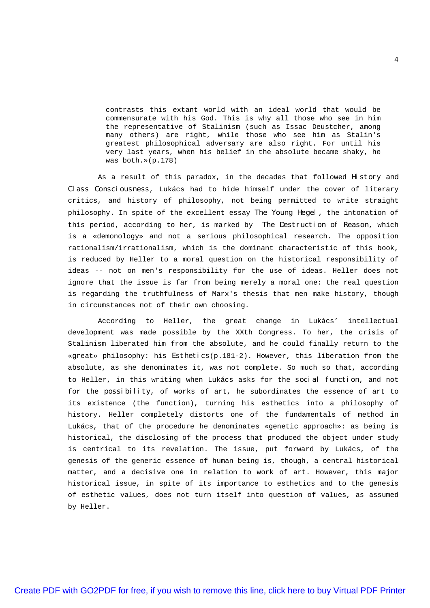contrasts this extant world with an ideal world that would be commensurate with his God. This is why all those who see in him the representative of Stalinism (such as Issac Deustcher, among many others) are right, while those who see him as Stalin's greatest philosophical adversary are also right. For until his very last years, when his belief in the absolute became shaky, he was both.»(p.178)

As a result of this paradox, in the decades that followed History and Class Consciousness, Lukács had to hide himself under the cover of literary critics, and history of philosophy, not being permitted to write straight philosophy. In spite of the excellent essay The Young Hegel, the intonation of this period, according to her, is marked by The Destruction of Reason, which is a «demonology» and not a serious philosophical research. The opposition rationalism/irrationalism, which is the dominant characteristic of this book, is reduced by Heller to a moral question on the historical responsibility of ideas -- not on men's responsibility for the use of ideas. Heller does not ignore that the issue is far from being merely a moral one: the real question is regarding the truthfulness of Marx's thesis that men make history, though in circumstances not of their own choosing.

According to Heller, the great change in Lukács' intellectual development was made possible by the XXth Congress. To her, the crisis of Stalinism liberated him from the absolute, and he could finally return to the «great» philosophy: his Esthetics(p.181-2). However, this liberation from the absolute, as she denominates it, was not complete. So much so that, according to Heller, in this writing when Lukács asks for the social function, and not for the possibility, of works of art, he subordinates the essence of art to its existence (the function), turning his esthetics into a philosophy of history. Heller completely distorts one of the fundamentals of method in Lukács, that of the procedure he denominates «genetic approach»: as being is historical, the disclosing of the process that produced the object under study is centrical to its revelation. The issue, put forward by Lukács, of the genesis of the generic essence of human being is, though, a central historical matter, and a decisive one in relation to work of art. However, this major historical issue, in spite of its importance to esthetics and to the genesis of esthetic values, does not turn itself into question of values, as assumed by Heller.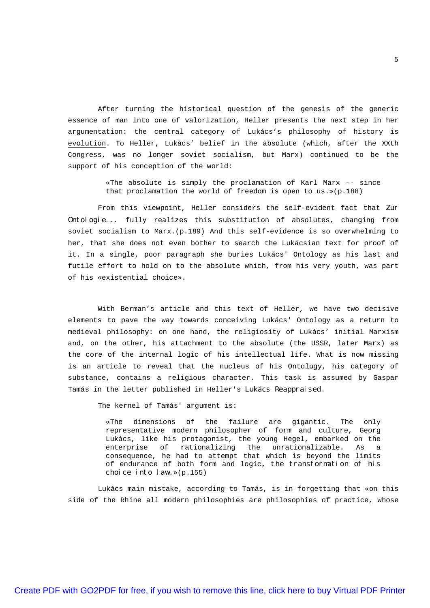After turning the historical question of the genesis of the generic essence of man into one of valorization, Heller presents the next step in her argumentation: the central category of Lukács's philosophy of history is evolution. To Heller, Lukács' belief in the absolute (which, after the XXth Congress, was no longer soviet socialism, but Marx) continued to be the support of his conception of the world:

> «The absolute is simply the proclamation of Karl Marx -- since that proclamation the world of freedom is open to us.»(p.188)

From this viewpoint, Heller considers the self-evident fact that Zur Ontologie... fully realizes this substitution of absolutes, changing from soviet socialism to Marx.(p.189) And this self-evidence is so overwhelming to her, that she does not even bother to search the Lukácsian text for proof of it. In a single, poor paragraph she buries Lukács' Ontology as his last and futile effort to hold on to the absolute which, from his very youth, was part of his «existential choice».

With Berman's article and this text of Heller, we have two decisive elements to pave the way towards conceiving Lukács' Ontology as a return to medieval philosophy: on one hand, the religiosity of Lukács' initial Marxism and, on the other, his attachment to the absolute (the USSR, later Marx) as the core of the internal logic of his intellectual life. What is now missing is an article to reveal that the nucleus of his Ontology, his category of substance, contains a religious character. This task is assumed by Gaspar Tamás in the letter published in Heller's Lukács Reappraised.

The kernel of Tamás' argument is:

«The dimensions of the failure are gigantic. The only representative modern philosopher of form and culture, Georg Lukács, like his protagonist, the young Hegel, embarked on the enterprise of rationalizing the unrationalizable. As a consequence, he had to attempt that which is beyond the limits of endurance of both form and logic, the transformation of his choice into law.»(p.155)

Lukács main mistake, according to Tamás, is in forgetting that «on this side of the Rhine all modern philosophies are philosophies of practice, whose

5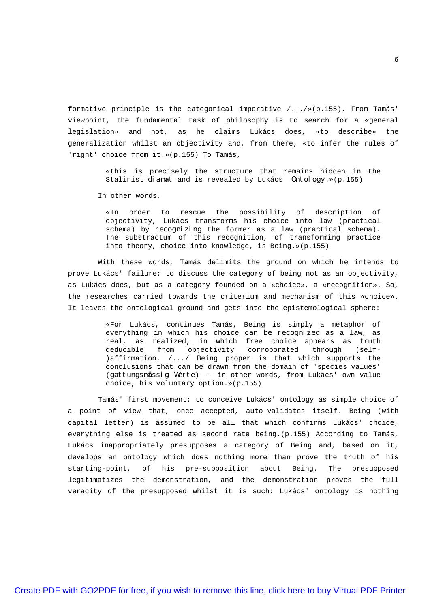formative principle is the categorical imperative /.../»(p.155). From Tamás' viewpoint, the fundamental task of philosophy is to search for a «general legislation» and not, as he claims Lukács does, «to describe» the generalization whilst an objectivity and, from there, «to infer the rules of 'right' choice from it.»(p.155) To Tamás,

> «this is precisely the structure that remains hidden in the Stalinist diamat and is revealed by Lukács' Ontology.»(p.155)

In other words,

«In order to rescue the possibility of description of objectivity, Lukács transforms his choice into law (practical schema) by recognizing the former as a law (practical schema). The substractum of this recognition, of transforming practice into theory, choice into knowledge, is Being.»(p.155)

With these words, Tamás delimits the ground on which he intends to prove Lukács' failure: to discuss the category of being not as an objectivity, as Lukács does, but as a category founded on a «choice», a «recognition». So, the researches carried towards the criterium and mechanism of this «choice». It leaves the ontological ground and gets into the epistemological sphere:

> «For Lukács, continues Tamás, Being is simply a metaphor of everything in which his choice *can be recognized* as a law, as real, as realized, in which free choice appears as truth deducible from objectivity corroborated through (self- )affirmation. /.../ Being proper is that which supports the conclusions that can be drawn from the domain of 'species values' (gattungsmässig Werte) -- in other words, from Lukács' own value choice, his voluntary option.»(p.155)

Tamás' first movement: to conceive Lukács' ontology as simple choice of a point of view that, once accepted, auto-validates itself. Being (with capital letter) is assumed to be all that which confirms Lukács' choice, everything else is treated as second rate being.(p.155) According to Tamás, Lukács inappropriately presupposes a category of Being and, based on it, develops an ontology which does nothing more than prove the truth of his starting-point, of his pre-supposition about Being. The presupposed legitimatizes the demonstration, and the demonstration proves the full veracity of the presupposed whilst it is such: Lukács' ontology is nothing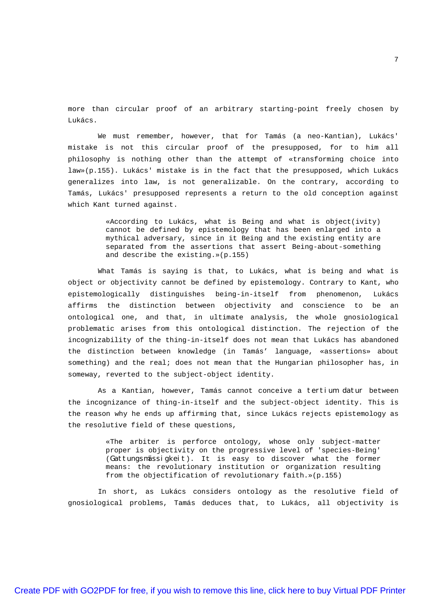more than circular proof of an arbitrary starting-point freely chosen by Lukács.

We must remember, however, that for Tamás (a neo-Kantian), Lukács' mistake is not this circular proof of the presupposed, for to him all philosophy is nothing other than the attempt of «transforming choice into law»(p.155). Lukács' mistake is in the fact that the presupposed, which Lukács generalizes into law, is not generalizable. On the contrary, according to Tamás, Lukács' presupposed represents a return to the old conception against which Kant turned against.

> «According to Lukács, what is Being and what is object(ivity) cannot be defined by epistemology that has been enlarged into a mythical adversary, since in it Being and the existing entity are separated from the assertions that assert Being-about-something and describe the existing.»(p.155)

What Tamás is saying is that, to Lukács, what is being and what is object or objectivity cannot be defined by epistemology. Contrary to Kant, who epistemologically distinguishes being-in-itself from phenomenon, Lukács affirms the distinction between objectivity and conscience to be an ontological one, and that, in ultimate analysis, the whole gnosiological problematic arises from this ontological distinction. The rejection of the incognizability of the thing-in-itself does not mean that Lukács has abandoned the distinction between knowledge (in Tamás' language, «assertions» about something) and the real; does not mean that the Hungarian philosopher has, in someway, reverted to the subject-object identity.

As a Kantian, however, Tamás cannot conceive a tertium datur between the incognizance of thing-in-itself and the subject-object identity. This is the reason why he ends up affirming that, since Lukács rejects epistemology as the resolutive field of these questions,

> «The arbiter is perforce ontology, whose only subject-matter proper is objectivity on the progressive level of 'species-Being' (Gattungsmässigkeit). It is easy to discover what the former means: the revolutionary institution or organization resulting from the objectification of revolutionary faith.»(p.155)

In short, as Lukács considers ontology as the resolutive field of gnosiological problems, Tamás deduces that, to Lukács, all objectivity is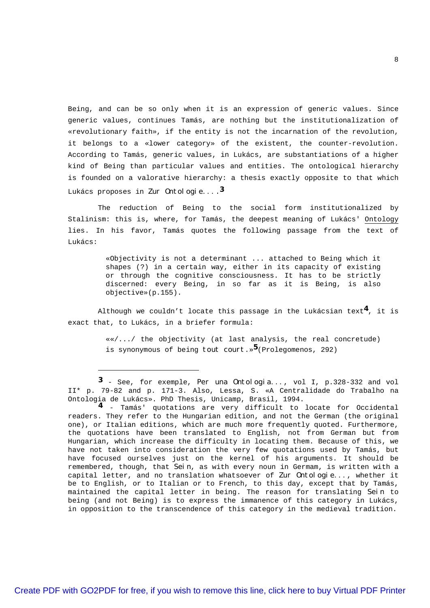Being, and can be so only when it is an expression of generic values. Since generic values, continues Tamás, are nothing but the institutionalization of «revolutionary faith», if the entity is not the incarnation of the revolution, it belongs to a «lower category» of the existent, the counter-revolution. According to Tamás, generic values, in Lukács, are substantiations of a higher kind of Being than particular values and entities. The ontological hierarchy is founded on a valorative hierarchy: a thesis exactly opposite to that which Lukács proposes in Zur Ontologie....**3**

The reduction of Being to the social form institutionalized by Stalinism: this is, where, for Tamás, the deepest meaning of Lukács' Ontology lies. In his favor, Tamás quotes the following passage from the text of Lukács:

> «Objectivity is not a determinant ... attached to Being which it shapes (?) in a certain way, either in its capacity of existing or through the cognitive consciousness. It has to be strictly discerned: every Being, in so far as it is Being, is also objective»(p.155).

Although we couldn't locate this passage in the Lukácsian text **4**, it is exact that, to Lukács, in a briefer formula:

> ««/.../ the objectivity (at last analysis, the real concretude) is synonymous of being tout court.» **5**(Prolegomenos, 292)

**<sup>3</sup>** - See, for exemple, Per una Ontologia..., vol I, p.328-332 and vol II\* p. 79-82 and p. 171-3. Also, Lessa, S. «A Centralidade do Trabalho na Ontologia de Lukács». PhD Thesis, Unicamp, Brasil, 1994.

**<sup>4</sup>** - Tamás' quotations are very difficult to locate for Occidental readers. They refer to the Hungarian edition, and not the German (the original one), or Italian editions, which are much more frequently quoted. Furthermore, the quotations have been translated to English, not from German but from Hungarian, which increase the difficulty in locating them. Because of this, we have not taken into consideration the very few quotations used by Tamás, but have focused ourselves just on the kernel of his arguments. It should be remembered, though, that  $Sei\,n$ , as with every noun in Germam, is written with a capital letter, and no translation whatsoever of Zur Ontologie..., whether it be to English, or to Italian or to French, to this day, except that by Tamás, maintained the capital letter in being. The reason for translating Sein to being (and not Being) is to express the immanence of this category in Lukács, in opposition to the transcendence of this category in the medieval tradition.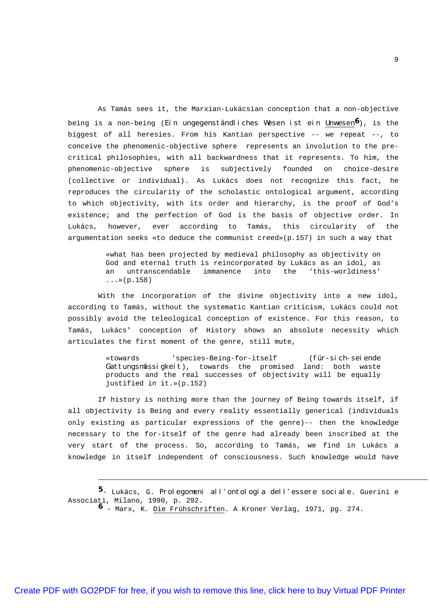As Tamás sees it, the Marxian-Lukácsian conception that a non-objective being is a non-being (Ein ungegenständliches Wesen ist ein Unwesen**6**), is the biggest of all heresies. From his Kantian perspective -- we repeat --, to conceive the phenomenic-objective sphere represents an involution to the precritical philosophies, with all backwardness that it represents. To him, the phenomenic-objective sphere is subjectively founded on choice-desire (collective or individual). As Lukács does not recognize this fact, he reproduces the circularity of the scholastic ontological argument, according to which objectivity, with its order and hierarchy, is the proof of God's existence; and the perfection of God is the basis of objective order. In Lukács, however, ever according to Tamás, this circularity of the argumentation seeks «to deduce the communist creed»(p.157) in such a way that

> «what has been projected by medieval philosophy as objectivity on God and eternal truth is reincorporated by Lukács as an idol, as an untranscendable immanence into the 'this-worldiness'  $...*(p.158)$

With the incorporation of the divine objectivity into a new idol, according to Tamás, without the systematic Kantian criticism, Lukács could not possibly avoid the teleological conception of existence. For this reason, to Tamás, Lukács' conception of History shows an absolute necessity which articulates the first moment of the genre, still mute,

> «towards 'species-Being-for-itself (für-sich-seiende Gattungsmässigkeit), towards the promised land: both waste products and the real successes of objectivity will be equally justified in it.»(p.152)

If history is nothing more than the journey of Being towards itself, if all objectivity is Being and every reality essentially generical (individuals only existing as particular expressions of the genre)-- then the knowledge necessary to the for-itself of the genre had already been inscribed at the very start of the process. So, according to Tamás, we find in Lukács a knowledge in itself independent of consciousness. Such knowledge would have

**<sup>5</sup>**- Lukács, G. Prolegomeni all'ontologia dell'essere sociale. Guerini e Associati, Milano, 1990, p. 292.

**<sup>6</sup>** - Marx, K. Die Frühschriften. A Kroner Verlag, 1971, pg. 274.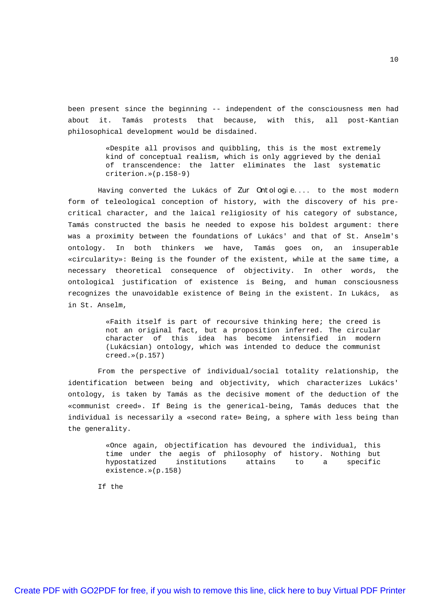been present since the beginning -- independent of the consciousness men had about it. Tamás protests that because, with this, all post-Kantian philosophical development would be disdained.

> «Despite all provisos and quibbling, this is the most extremely kind of conceptual realism, which is only aggrieved by the denial of transcendence: the latter eliminates the last systematic criterion.»(p.158-9)

Having converted the Lukács of Zur Ontologie.... to the most modern form of teleological conception of history, with the discovery of his precritical character, and the laical religiosity of his category of substance, Tamás constructed the basis he needed to expose his boldest argument: there was a proximity between the foundations of Lukács' and that of St. Anselm's ontology. In both thinkers we have, Tamás goes on, an insuperable «circularity»: Being is the founder of the existent, while at the same time, a necessary theoretical consequence of objectivity. In other words, the ontological justification of existence is Being, and human consciousness recognizes the unavoidable existence of Being in the existent. In Lukács, as in St. Anselm,

> «Faith itself is part of recoursive thinking here; the creed is not an original fact, but a proposition inferred. The circular character of this idea has become intensified in modern (Lukácsian) ontology, which was intended to deduce the communist creed.»(p.157)

From the perspective of individual/social totality relationship, the identification between being and objectivity, which characterizes Lukács' ontology, is taken by Tamás as the decisive moment of the deduction of the «communist creed». If Being is the generical-being, Tamás deduces that the individual is necessarily a «second rate» Being, a sphere with less being than the generality.

> «Once again, objectification has devoured the individual, this time under the aegis of philosophy of history. Nothing but hypostatized institutions attains to a specific existence.»(p.158)

If the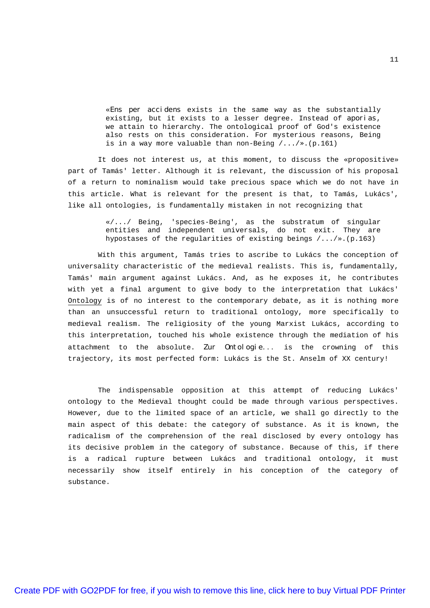«Ens per accidens exists in the same way as the substantially existing, but it exists to a lesser degree. Instead of aporias, we attain to hierarchy. The ontological proof of God's existence also rests on this consideration. For mysterious reasons, Being is in a way more valuable than non-Being  $/$ ... $/*$ . (p.161)

It does not interest us, at this moment, to discuss the «propositive» part of Tamás' letter. Although it is relevant, the discussion of his proposal of a return to nominalism would take precious space which we do not have in this article. What is relevant for the present is that, to Tamás, Lukács', like all ontologies, is fundamentally mistaken in not recognizing that

> $*/.../$  Being, 'species-Being', as the substratum of singular entities and independent universals, do not exit. They are hypostases of the regularities of existing beings /.../».(p.163)

With this argument, Tamás tries to ascribe to Lukács the conception of universality characteristic of the medieval realists. This is, fundamentally, Tamás' main argument against Lukács. And, as he exposes it, he contributes with yet a final argument to give body to the interpretation that Lukács' Ontology is of no interest to the contemporary debate, as it is nothing more than an unsuccessful return to traditional ontology, more specifically to medieval realism. The religiosity of the young Marxist Lukács, according to this interpretation, touched his whole existence through the mediation of his attachment to the absolute. Zur Ontologie... is the crowning of this trajectory, its most perfected form: Lukács is the St. Anselm of XX century!

The indispensable opposition at this attempt of reducing Lukács' ontology to the Medieval thought could be made through various perspectives. However, due to the limited space of an article, we shall go directly to the main aspect of this debate: the category of substance. As it is known, the radicalism of the comprehension of the real disclosed by every ontology has its decisive problem in the category of substance. Because of this, if there is a radical rupture between Lukács and traditional ontology, it must necessarily show itself entirely in his conception of the category of substance.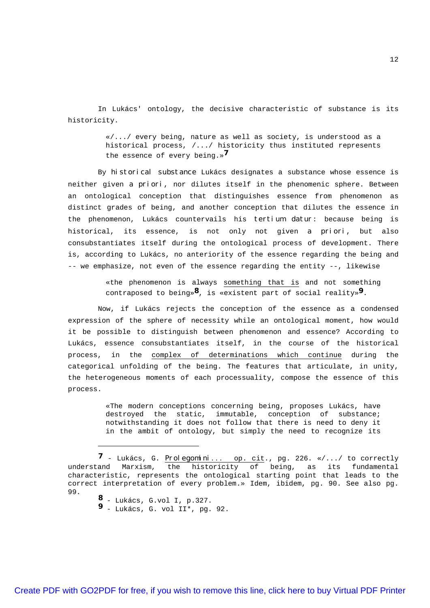In Lukács' ontology, the decisive characteristic of substance is its historicity.

> «/.../ every being, nature as well as society, is understood as a historical process, /.../ historicity thus instituted represents the essence of every being.» **7**

By historical substance Lukács designates a substance whose essence is neither given a priori, nor dilutes itself in the phenomenic sphere. Between an ontological conception that distinguishes essence from phenomenon as distinct grades of being, and another conception that dilutes the essence in the phenomenon, Lukács countervails his tertium datur: because being is historical, its essence, is not only not given a priori, but also consubstantiates itself during the ontological process of development. There is, according to Lukács, no anteriority of the essence regarding the being and -- we emphasize, not even of the essence regarding the entity --, likewise

> «the phenomenon is always something that is and not something contraposed to being»**8**, is «existent part of social reality»**9**.

Now, if Lukács rejects the conception of the essence as a condensed expression of the sphere of necessity while an ontological moment, how would it be possible to distinguish between phenomenon and essence? According to Lukács, essence consubstantiates itself, in the course of the historical process, in the complex of determinations which continue during the categorical unfolding of the being. The features that articulate, in unity, the heterogeneous moments of each processuality, compose the essence of this process.

> «The modern conceptions concerning being, proposes Lukács, have destroyed the static, immutable, conception of substance; notwithstanding it does not follow that there is need to deny it in the ambit of ontology, but simply the need to recognize its

- **8** Lukács, G.vol I, p.327.
- **9** Lukács, G. vol II\*, pg. 92.

**<sup>7</sup>** - Lukács, G. Prolegomini... op. cit., pg. 226. «/.../ to correctly understand Marxism, the historicity of being, as its fundamental characteristic, represents the ontological starting point that leads to the correct interpretation of every problem.» Idem, ibidem, pg. 90. See also pg. 99.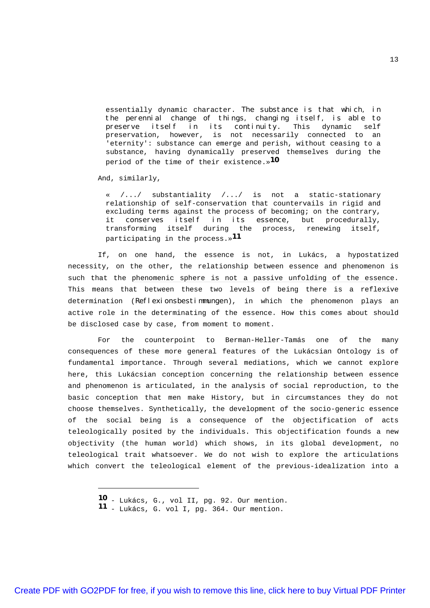essentially dynamic character. The substance is that which, in the perennial change of things, changing itself, is able to preserve itself in its continuity. This dynamic self preservation, however, is not necessarily connected to an 'eternity': substance can emerge and perish, without ceasing to a substance, having dynamically preserved themselves during the period of the time of their existence.» **10**

And, similarly,

 $/$ .../ substantiality  $/$ .../ is not a static-stationary relationship of self-conservation that countervails in rigid and excluding terms against the process of becoming; on the contrary, it conserves itself in its essence, but procedurally, transforming itself during the process, renewing itself, participating in the process.» **11**

If, on one hand, the essence is not, in Lukács, a hypostatized necessity, on the other, the relationship between essence and phenomenon is such that the phenomenic sphere is not a passive unfolding of the essence. This means that between these two levels of being there is a reflexive determination (Reflexionsbestimmungen), in which the phenomenon plays an active role in the determinating of the essence. How this comes about should be disclosed case by case, from moment to moment.

For the counterpoint to Berman-Heller-Tamás one of the many consequences of these more general features of the Lukácsian Ontology is of fundamental importance. Through several mediations, which we cannot explore here, this Lukácsian conception concerning the relationship between essence and phenomenon is articulated, in the analysis of social reproduction, to the basic conception that men make History, but in circumstances they do not choose themselves. Synthetically, the development of the socio-generic essence of the social being is a consequence of the objectification of acts teleologically posited by the individuals. This objectification founds a new objectivity (the human world) which shows, in its global development, no teleological trait whatsoever. We do not wish to explore the articulations which convert the teleological element of the previous-idealization into a

**<sup>10</sup>** - Lukács, G., vol II, pg. 92. Our mention.

**<sup>11</sup>** - Lukács, G. vol I, pg. 364. Our mention.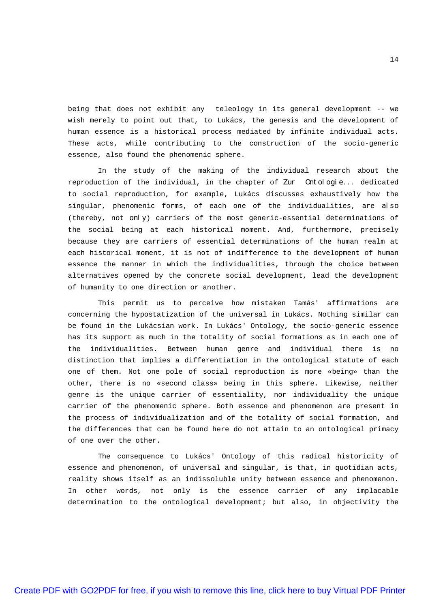being that does not exhibit any teleology in its general development -- we wish merely to point out that, to Lukács, the genesis and the development of human essence is a historical process mediated by infinite individual acts. These acts, while contributing to the construction of the socio-generic essence, also found the phenomenic sphere.

In the study of the making of the individual research about the reproduction of the individual, in the chapter of Zur Ontologie... dedicated to social reproduction, for example, Lukács discusses exhaustively how the singular, phenomenic forms, of each one of the individualities, are also (thereby, not only) carriers of the most generic-essential determinations of the social being at each historical moment. And, furthermore, precisely because they are carriers of essential determinations of the human realm at each historical moment, it is not of indifference to the development of human essence the manner in which the individualities, through the choice between alternatives opened by the concrete social development, lead the development of humanity to one direction or another.

This permit us to perceive how mistaken Tamás' affirmations are concerning the hypostatization of the universal in Lukács. Nothing similar can be found in the Lukácsian work. In Lukács' Ontology, the socio-generic essence has its support as much in the totality of social formations as in each one of the individualities. Between human genre and individual there is no distinction that implies a differentiation in the ontological statute of each one of them. Not one pole of social reproduction is more «being» than the other, there is no «second class» being in this sphere. Likewise, neither genre is the unique carrier of essentiality, nor individuality the unique carrier of the phenomenic sphere. Both essence and phenomenon are present in the process of individualization and of the totality of social formation, and the differences that can be found here do not attain to an ontological primacy of one over the other.

The consequence to Lukács' Ontology of this radical historicity of essence and phenomenon, of universal and singular, is that, in quotidian acts, reality shows itself as an indissoluble unity between essence and phenomenon. In other words, not only is the essence carrier of any implacable determination to the ontological development; but also, in objectivity the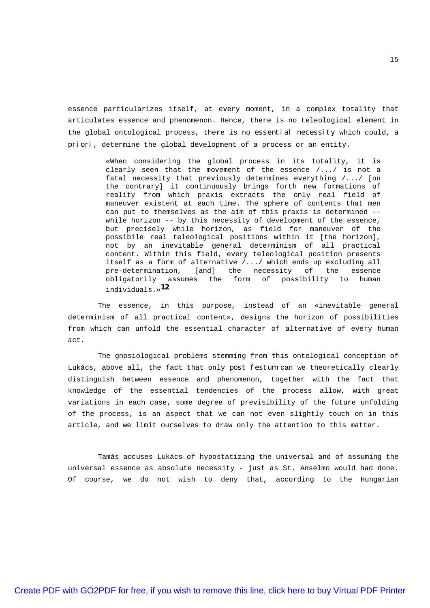essence particularizes itself, at every moment, in a complex totality that articulates essence and phenomenon. Hence, there is no teleological element in the global ontological process, there is no essential necessity which could, a priori, determine the global development of a process or an entity.

> «When considering the global process in its totality, it is clearly seen that the movement of the essence /.../ is not a fatal necessity that previously determines everything /.../ [on the contrary] it continuously brings forth new formations of reality from which praxis extracts the only real field of maneuver existent at each time. The sphere of contents that men can put to themselves as the aim of this praxis is determined - while horizon -- by this necessity of development of the essence, but precisely while horizon, as field for maneuver of the possibile real teleological positions within it [the horizon], not by an inevitable general determinism of all practical content. Within this field, every teleological position presents itself as a form of alternative /.../ which ends up excluding all pre-determination, [and] the necessity of the essence obligatorily assumes the form of possibility to human individuals.» **12**

The essence, in this purpose, instead of an «inevitable general determinism of all practical content», designs the horizon of possibilities from which can unfold the essential character of alternative of every human act.

The gnosiological problems stemming from this ontological conception of Lukács, above all, the fact that only post festum can we theoretically clearly distinguish between essence and phenomenon, together with the fact that knowledge of the essential tendencies of the process allow, with great variations in each case, some degree of previsibility of the future unfolding of the process, is an aspect that we can not even slightly touch on in this article, and we limit ourselves to draw only the attention to this matter.

Tamás accuses Lukács of hypostatizing the universal and of assuming the universal essence as absolute necessity - just as St. Anselmo would had done. Of course, we do not wish to deny that, according to the Hungarian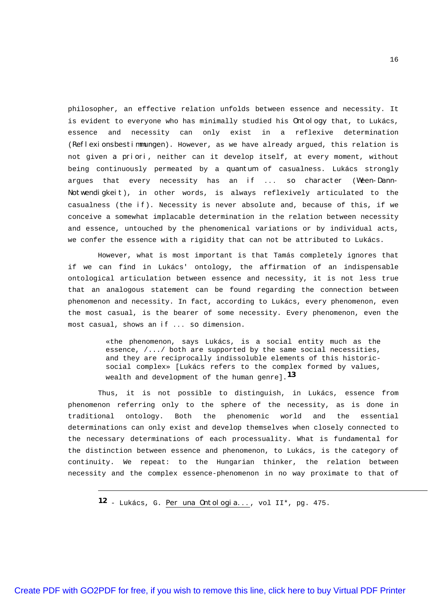philosopher, an effective relation unfolds between essence and necessity. It is evident to everyone who has minimally studied his Ontology that, to Lukács, essence and necessity can only exist in a reflexive determination (Reflexionsbestimmungen). However, as we have already argued, this relation is not given a priori, neither can it develop itself, at every moment, without being continuously permeated by a quantum of casualness. Lukács strongly argues that every necessity has an if ... so character (Ween-Dann-Notwendigkeit), in other words, is always reflexively articulated to the casualness (the  $i f$ ). Necessity is never absolute and, because of this, if we conceive a somewhat implacable determination in the relation between necessity and essence, untouched by the phenomenical variations or by individual acts, we confer the essence with a rigidity that can not be attributed to Lukács.

However, what is most important is that Tamás completely ignores that if we can find in Lukács' ontology, the affirmation of an indispensable ontological articulation between essence and necessity, it is not less true that an analogous statement can be found regarding the connection between phenomenon and necessity. In fact, according to Lukács, every phenomenon, even the most casual, is the bearer of some necessity. Every phenomenon, even the most casual, shows an if ... so dimension.

> «the phenomenon, says Lukács, is a social entity much as the essence,  $/ \ldots /$  both are supported by the same social necessities, and they are reciprocally indissoluble elements of this historicsocial complex» [Lukács refers to the complex formed by values, wealth and development of the human genre]. **13**

Thus, it is not possible to distinguish, in Lukács, essence from phenomenon referring only to the sphere of the necessity, as is done in traditional ontology. Both the phenomenic world and the essential determinations can only exist and develop themselves when closely connected to the necessary determinations of each processuality. What is fundamental for the distinction between essence and phenomenon, to Lukács, is the category of continuity. We repeat: to the Hungarian thinker, the relation between necessity and the complex essence-phenomenon in no way proximate to that of

**12** - Lukács, G. Per una Ontologia..., vol II\*, pg. 475.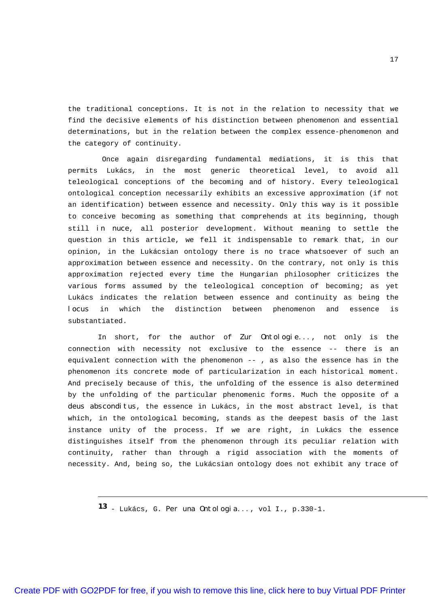the traditional conceptions. It is not in the relation to necessity that we find the decisive elements of his distinction between phenomenon and essential determinations, but in the relation between the complex essence-phenomenon and the category of continuity.

Once again disregarding fundamental mediations, it is this that permits Lukács, in the most generic theoretical level, to avoid all teleological conceptions of the becoming and of history. Every teleological ontological conception necessarily exhibits an excessive approximation (if not an identification) between essence and necessity. Only this way is it possible to conceive becoming as something that comprehends at its beginning, though still in nuce, all posterior development. Without meaning to settle the question in this article, we fell it indispensable to remark that, in our opinion, in the Lukácsian ontology there is no trace whatsoever of such an approximation between essence and necessity. On the contrary, not only is this approximation rejected every time the Hungarian philosopher criticizes the various forms assumed by the teleological conception of becoming; as yet Lukács indicates the relation between essence and continuity as being the locus in which the distinction between phenomenon and essence is substantiated.

In short, for the author of Zur Ontologie..., not only is the connection with necessity not exclusive to the essence -- there is an equivalent connection with the phenomenon -- , as also the essence has in the phenomenon its concrete mode of particularization in each historical moment. And precisely because of this, the unfolding of the essence is also determined by the unfolding of the particular phenomenic forms. Much the opposite of a deus absconditus, the essence in Lukács, in the most abstract level, is that which, in the ontological becoming, stands as the deepest basis of the last instance unity of the process. If we are right, in Lukács the essence distinguishes itself from the phenomenon through its peculiar relation with continuity, rather than through a rigid association with the moments of necessity. And, being so, the Lukácsian ontology does not exhibit any trace of

**13** - Lukács, G. Per una Ontologia..., vol I., p.330-1.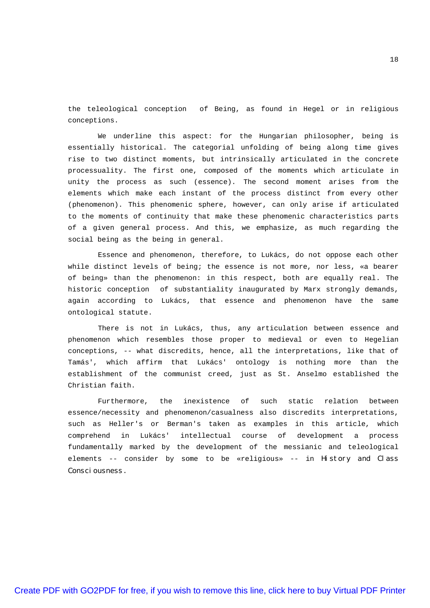the teleological conception of Being, as found in Hegel or in religious conceptions.

We underline this aspect: for the Hungarian philosopher, being is essentially historical. The categorial unfolding of being along time gives rise to two distinct moments, but intrinsically articulated in the concrete processuality. The first one, composed of the moments which articulate in unity the process as such (essence). The second moment arises from the elements which make each instant of the process distinct from every other (phenomenon). This phenomenic sphere, however, can only arise if articulated to the moments of continuity that make these phenomenic characteristics parts of a given general process. And this, we emphasize, as much regarding the social being as the being in general.

Essence and phenomenon, therefore, to Lukács, do not oppose each other while distinct levels of being; the essence is not more, nor less, «a bearer of being» than the phenomenon: in this respect, both are equally real. The historic conception of substantiality inaugurated by Marx strongly demands, again according to Lukács, that essence and phenomenon have the same ontological statute.

There is not in Lukács, thus, any articulation between essence and phenomenon which resembles those proper to medieval or even to Hegelian conceptions, -- what discredits, hence, all the interpretations, like that of Tamás', which affirm that Lukács' ontology is nothing more than the establishment of the communist creed, just as St. Anselmo established the Christian faith.

Furthermore, the inexistence of such static relation between essence/necessity and phenomenon/casualness also discredits interpretations, such as Heller's or Berman's taken as examples in this article, which comprehend in Lukács' intellectual course of development a process fundamentally marked by the development of the messianic and teleological elements -- consider by some to be «religious» -- in History and Class Consciousness.